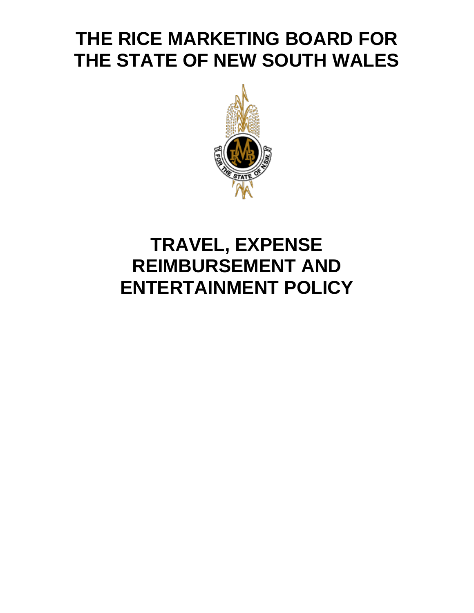# **THE RICE MARKETING BOARD FOR THE STATE OF NEW SOUTH WALES**



# **TRAVEL, EXPENSE REIMBURSEMENT AND ENTERTAINMENT POLICY**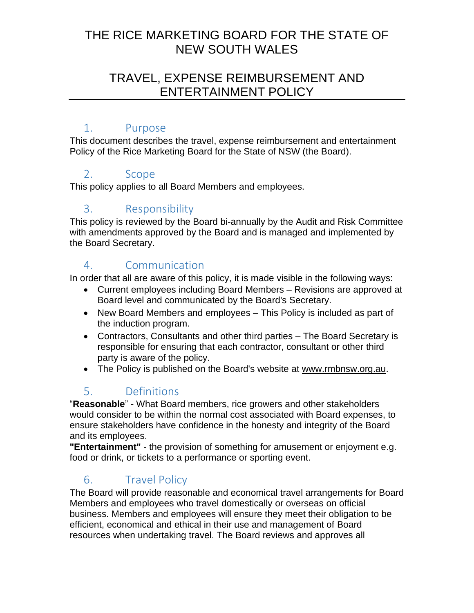# THE RICE MARKETING BOARD FOR THE STATE OF NEW SOUTH WALES

# TRAVEL, EXPENSE REIMBURSEMENT AND ENTERTAINMENT POLICY

#### 1. Purpose

This document describes the travel, expense reimbursement and entertainment Policy of the Rice Marketing Board for the State of NSW (the Board).

#### 2. Scope

This policy applies to all Board Members and employees.

### 3. Responsibility

This policy is reviewed by the Board bi-annually by the Audit and Risk Committee with amendments approved by the Board and is managed and implemented by the Board Secretary.

# 4. Communication

In order that all are aware of this policy, it is made visible in the following ways:

- Current employees including Board Members Revisions are approved at Board level and communicated by the Board's Secretary.
- New Board Members and employees This Policy is included as part of the induction program.
- Contractors, Consultants and other third parties The Board Secretary is responsible for ensuring that each contractor, consultant or other third party is aware of the policy.
- The Policy is published on the Board's website at www.rmbnsw.org.au.

# 5. Definitions

"**Reasonable**" - What Board members, rice growers and other stakeholders would consider to be within the normal cost associated with Board expenses, to ensure stakeholders have confidence in the honesty and integrity of the Board and its employees.

**"Entertainment"** - the provision of something for amusement or enjoyment e.g. food or drink, or tickets to a performance or sporting event.

# 6. Travel Policy

The Board will provide reasonable and economical travel arrangements for Board Members and employees who travel domestically or overseas on official business. Members and employees will ensure they meet their obligation to be efficient, economical and ethical in their use and management of Board resources when undertaking travel. The Board reviews and approves all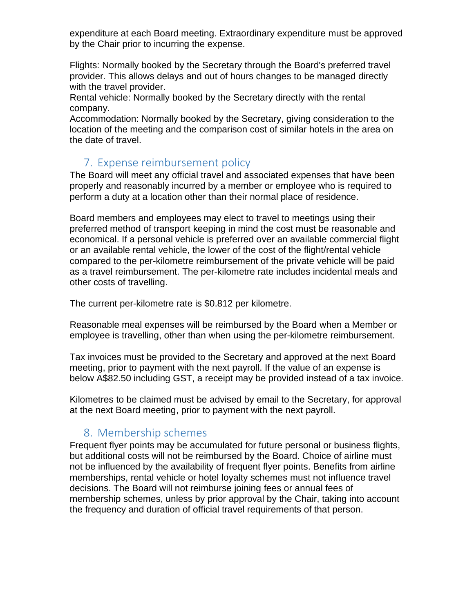expenditure at each Board meeting. Extraordinary expenditure must be approved by the Chair prior to incurring the expense.

Flights: Normally booked by the Secretary through the Board's preferred travel provider. This allows delays and out of hours changes to be managed directly with the travel provider.

Rental vehicle: Normally booked by the Secretary directly with the rental company.

Accommodation: Normally booked by the Secretary, giving consideration to the location of the meeting and the comparison cost of similar hotels in the area on the date of travel.

# 7. Expense reimbursement policy

The Board will meet any official travel and associated expenses that have been properly and reasonably incurred by a member or employee who is required to perform a duty at a location other than their normal place of residence.

Board members and employees may elect to travel to meetings using their preferred method of transport keeping in mind the cost must be reasonable and economical. If a personal vehicle is preferred over an available commercial flight or an available rental vehicle, the lower of the cost of the flight/rental vehicle compared to the per-kilometre reimbursement of the private vehicle will be paid as a travel reimbursement. The per-kilometre rate includes incidental meals and other costs of travelling.

The current per-kilometre rate is \$0.812 per kilometre.

Reasonable meal expenses will be reimbursed by the Board when a Member or employee is travelling, other than when using the per-kilometre reimbursement.

Tax invoices must be provided to the Secretary and approved at the next Board meeting, prior to payment with the next payroll. If the value of an expense is below A\$82.50 including GST, a receipt may be provided instead of a tax invoice.

Kilometres to be claimed must be advised by email to the Secretary, for approval at the next Board meeting, prior to payment with the next payroll.

### 8. Membership schemes

Frequent flyer points may be accumulated for future personal or business flights, but additional costs will not be reimbursed by the Board. Choice of airline must not be influenced by the availability of frequent flyer points. Benefits from airline memberships, rental vehicle or hotel loyalty schemes must not influence travel decisions. The Board will not reimburse joining fees or annual fees of membership schemes, unless by prior approval by the Chair, taking into account the frequency and duration of official travel requirements of that person.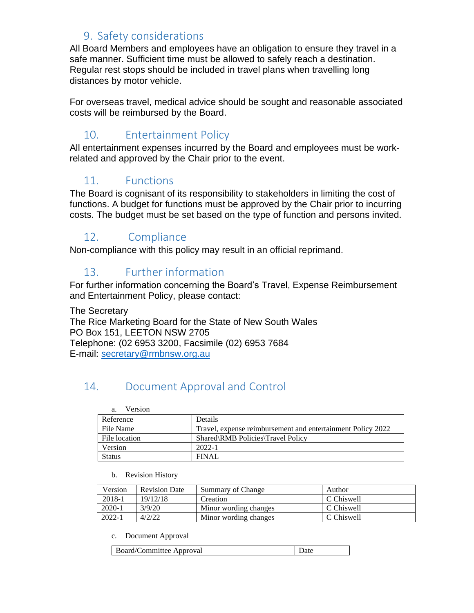### 9. Safety considerations

All Board Members and employees have an obligation to ensure they travel in a safe manner. Sufficient time must be allowed to safely reach a destination. Regular rest stops should be included in travel plans when travelling long distances by motor vehicle.

For overseas travel, medical advice should be sought and reasonable associated costs will be reimbursed by the Board.

## 10. Entertainment Policy

All entertainment expenses incurred by the Board and employees must be workrelated and approved by the Chair prior to the event.

#### 11. Functions

The Board is cognisant of its responsibility to stakeholders in limiting the cost of functions. A budget for functions must be approved by the Chair prior to incurring costs. The budget must be set based on the type of function and persons invited.

### 12. Compliance

Non-compliance with this policy may result in an official reprimand.

### 13. Further information

For further information concerning the Board's Travel, Expense Reimbursement and Entertainment Policy, please contact:

#### The Secretary

The Rice Marketing Board for the State of New South Wales PO Box 151, LEETON NSW 2705 Telephone: (02 6953 3200, Facsimile (02) 6953 7684 E-mail: [secretary@rmbnsw.org.au](mailto:secretary@rmbnsw.org.au)

# 14. Document Approval and Control

| Version<br>a. |                                                             |
|---------------|-------------------------------------------------------------|
| Reference     | <b>Details</b>                                              |
| File Name     | Travel, expense reimbursement and entertainment Policy 2022 |
| File location | Shared\RMB Policies\Travel Policy                           |
| Version       | 2022-1                                                      |
| <b>Status</b> | FINAL                                                       |

#### b. Revision History

| Version    | <b>Revision Date</b> | Summary of Change     | Author     |
|------------|----------------------|-----------------------|------------|
| 2018-1     | 19/12/18             | Creation              | C Chiswell |
| 2020-1     | 3/9/20               | Minor wording changes | C Chiswell |
| $2022 - 1$ | 4/2/22               | Minor wording changes | C Chiswell |

c. Document Approval

| Board/Committee Approval | Date |
|--------------------------|------|
|--------------------------|------|